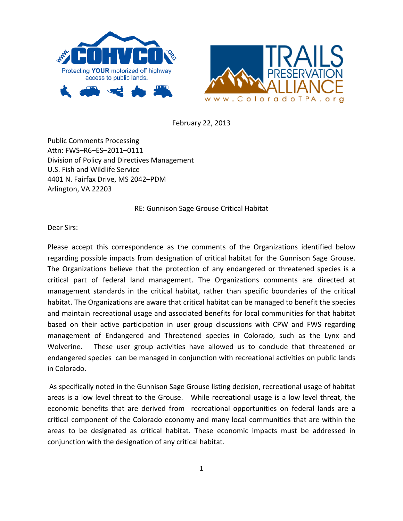



February 22, 2013

Public Comments Processing Attn: FWS-R6-ES-2011-0111 Division of Policy and Directives Management U.S. Fish and Wildlife Service 4401 N. Fairfax Drive, MS 2042-PDM Arlington, VA 22203

RE: Gunnison Sage Grouse Critical Habitat

Dear Sirs:

Please accept this correspondence as the comments of the Organizations identified below regarding possible impacts from designation of critical habitat for the Gunnison Sage Grouse. The Organizations believe that the protection of any endangered or threatened species is a critical part of federal land management. The Organizations comments are directed at management standards in the critical habitat, rather than specific boundaries of the critical habitat. The Organizations are aware that critical habitat can be managed to benefit the species and maintain recreational usage and associated benefits for local communities for that habitat based on their active participation in user group discussions with CPW and FWS regarding management of Endangered and Threatened species in Colorado, such as the Lynx and Wolverine. These user group activities have allowed us to conclude that threatened or endangered species can be managed in conjunction with recreational activities on public lands in Colorado. 

As specifically noted in the Gunnison Sage Grouse listing decision, recreational usage of habitat areas is a low level threat to the Grouse. While recreational usage is a low level threat, the economic benefits that are derived from recreational opportunities on federal lands are a critical component of the Colorado economy and many local communities that are within the areas to be designated as critical habitat. These economic impacts must be addressed in conjunction with the designation of any critical habitat.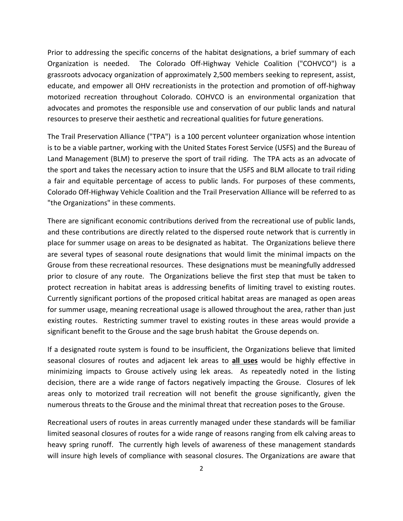Prior to addressing the specific concerns of the habitat designations, a brief summary of each Organization is needed. The Colorado Off-Highway Vehicle Coalition ("COHVCO") is a grassroots advocacy organization of approximately 2,500 members seeking to represent, assist, educate, and empower all OHV recreationists in the protection and promotion of off-highway motorized recreation throughout Colorado. COHVCO is an environmental organization that advocates and promotes the responsible use and conservation of our public lands and natural resources to preserve their aesthetic and recreational qualities for future generations.

The Trail Preservation Alliance ("TPA") is a 100 percent volunteer organization whose intention is to be a viable partner, working with the United States Forest Service (USFS) and the Bureau of Land Management (BLM) to preserve the sport of trail riding. The TPA acts as an advocate of the sport and takes the necessary action to insure that the USFS and BLM allocate to trail riding a fair and equitable percentage of access to public lands. For purposes of these comments, Colorado Off-Highway Vehicle Coalition and the Trail Preservation Alliance will be referred to as "the Organizations" in these comments.

There are significant economic contributions derived from the recreational use of public lands, and these contributions are directly related to the dispersed route network that is currently in place for summer usage on areas to be designated as habitat. The Organizations believe there are several types of seasonal route designations that would limit the minimal impacts on the Grouse from these recreational resources. These designations must be meaningfully addressed prior to closure of any route. The Organizations believe the first step that must be taken to protect recreation in habitat areas is addressing benefits of limiting travel to existing routes. Currently significant portions of the proposed critical habitat areas are managed as open areas for summer usage, meaning recreational usage is allowed throughout the area, rather than just existing routes. Restricting summer travel to existing routes in these areas would provide a significant benefit to the Grouse and the sage brush habitat the Grouse depends on.

If a designated route system is found to be insufficient, the Organizations believe that limited seasonal closures of routes and adjacent lek areas to **all uses** would be highly effective in minimizing impacts to Grouse actively using lek areas. As repeatedly noted in the listing decision, there are a wide range of factors negatively impacting the Grouse. Closures of lek areas only to motorized trail recreation will not benefit the grouse significantly, given the numerous threats to the Grouse and the minimal threat that recreation poses to the Grouse.

Recreational users of routes in areas currently managed under these standards will be familiar limited seasonal closures of routes for a wide range of reasons ranging from elk calving areas to heavy spring runoff. The currently high levels of awareness of these management standards will insure high levels of compliance with seasonal closures. The Organizations are aware that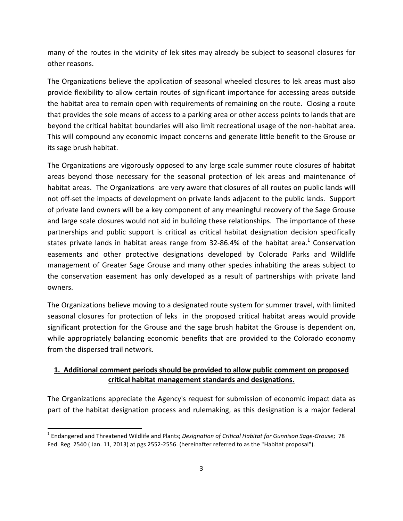many of the routes in the vicinity of lek sites may already be subject to seasonal closures for other reasons.

The Organizations believe the application of seasonal wheeled closures to lek areas must also provide flexibility to allow certain routes of significant importance for accessing areas outside the habitat area to remain open with requirements of remaining on the route. Closing a route that provides the sole means of access to a parking area or other access points to lands that are beyond the critical habitat boundaries will also limit recreational usage of the non-habitat area. This will compound any economic impact concerns and generate little benefit to the Grouse or its sage brush habitat.

The Organizations are vigorously opposed to any large scale summer route closures of habitat areas beyond those necessary for the seasonal protection of lek areas and maintenance of habitat areas. The Organizations are very aware that closures of all routes on public lands will not off-set the impacts of development on private lands adjacent to the public lands. Support of private land owners will be a key component of any meaningful recovery of the Sage Grouse and large scale closures would not aid in building these relationships. The importance of these partnerships and public support is critical as critical habitat designation decision specifically states private lands in habitat areas range from 32-86.4% of the habitat area.<sup>1</sup> Conservation easements and other protective designations developed by Colorado Parks and Wildlife management of Greater Sage Grouse and many other species inhabiting the areas subject to the conservation easement has only developed as a result of partnerships with private land owners.

The Organizations believe moving to a designated route system for summer travel, with limited seasonal closures for protection of leks in the proposed critical habitat areas would provide significant protection for the Grouse and the sage brush habitat the Grouse is dependent on, while appropriately balancing economic benefits that are provided to the Colorado economy from the dispersed trail network.

## 1. Additional comment periods should be provided to allow public comment on proposed **critical habitat management standards and designations.**

The Organizations appreciate the Agency's request for submission of economic impact data as part of the habitat designation process and rulemaking, as this designation is a major federal

<sup>&</sup>lt;sup>1</sup> Endangered and Threatened Wildlife and Plants; *Designation of Critical Habitat for Gunnison Sage-Grouse*; 78 Fed. Reg 2540 (Jan. 11, 2013) at pgs 2552-2556. (hereinafter referred to as the "Habitat proposal").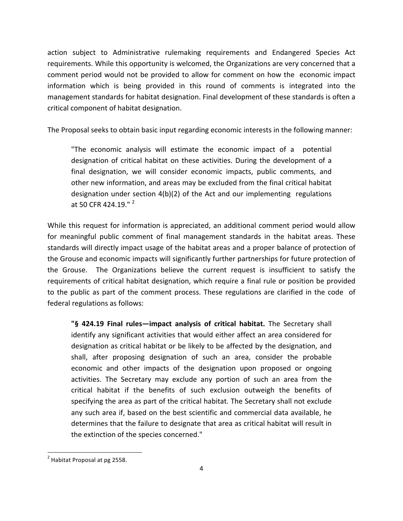action subject to Administrative rulemaking requirements and Endangered Species Act requirements. While this opportunity is welcomed, the Organizations are very concerned that a comment period would not be provided to allow for comment on how the economic impact information which is being provided in this round of comments is integrated into the management standards for habitat designation. Final development of these standards is often a critical component of habitat designation.

The Proposal seeks to obtain basic input regarding economic interests in the following manner:

"The economic analysis will estimate the economic impact of a potential designation of critical habitat on these activities. During the development of a final designation, we will consider economic impacts, public comments, and other new information, and areas may be excluded from the final critical habitat designation under section  $4(b)(2)$  of the Act and our implementing regulations at 50 CFR 424.19." $2$ 

While this request for information is appreciated, an additional comment period would allow for meaningful public comment of final management standards in the habitat areas. These standards will directly impact usage of the habitat areas and a proper balance of protection of the Grouse and economic impacts will significantly further partnerships for future protection of the Grouse. The Organizations believe the current request is insufficient to satisfy the requirements of critical habitat designation, which require a final rule or position be provided to the public as part of the comment process. These regulations are clarified in the code of federal regulations as follows:

**"§ 424.19 Final rules—impact analysis of critical habitat.** The Secretary shall identify any significant activities that would either affect an area considered for designation as critical habitat or be likely to be affected by the designation, and shall, after proposing designation of such an area, consider the probable economic and other impacts of the designation upon proposed or ongoing activities. The Secretary may exclude any portion of such an area from the critical habitat if the benefits of such exclusion outweigh the benefits of specifying the area as part of the critical habitat. The Secretary shall not exclude any such area if, based on the best scientific and commercial data available, he determines that the failure to designate that area as critical habitat will result in the extinction of the species concerned."

 $2$  Habitat Proposal at pg 2558.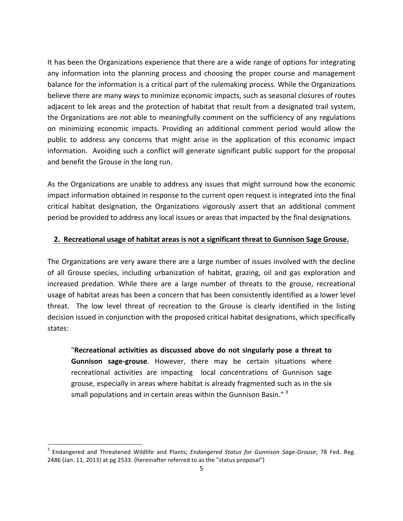It has been the Organizations experience that there are a wide range of options for integrating any information into the planning process and choosing the proper course and management balance for the information is a critical part of the rulemaking process. While the Organizations believe there are many ways to minimize economic impacts, such as seasonal closures of routes adjacent to lek areas and the protection of habitat that result from a designated trail system, the Organizations are not able to meaningfully comment on the sufficiency of any regulations on minimizing economic impacts. Providing an additional comment period would allow the public to address any concerns that might arise in the application of this economic impact information. Avoiding such a conflict will generate significant public support for the proposal and benefit the Grouse in the long run.

As the Organizations are unable to address any issues that might surround how the economic impact information obtained in response to the current open request is integrated into the final critical habitat designation, the Organizations vigorously assert that an additional comment period be provided to address any local issues or areas that impacted by the final designations.

### **2.** Recreational usage of habitat areas is not a significant threat to Gunnison Sage Grouse.

The Organizations are very aware there are a large number of issues involved with the decline of all Grouse species, including urbanization of habitat, grazing, oil and gas exploration and increased predation. While there are a large number of threats to the grouse, recreational usage of habitat areas has been a concern that has been consistently identified as a lower level threat. The low level threat of recreation to the Grouse is clearly identified in the listing decision issued in conjunction with the proposed critical habitat designations, which specifically states:

**"Recreational activities as discussed above do not singularly pose a threat to** Gunnison sage-grouse. However, there may be certain situations where recreational activities are impacting local concentrations of Gunnison sage grouse, especially in areas where habitat is already fragmented such as in the six small populations and in certain areas within the Gunnison Basin." $3$ 

<sup>&</sup>lt;sup>3</sup> Endangered and Threatened Wildlife and Plants; *Endangered Status for Gunnison Sage-Grouse*; 78 Fed. Reg. 2486 (Jan. 11, 2013) at pg 2533. (hereinafter referred to as the "status proposal")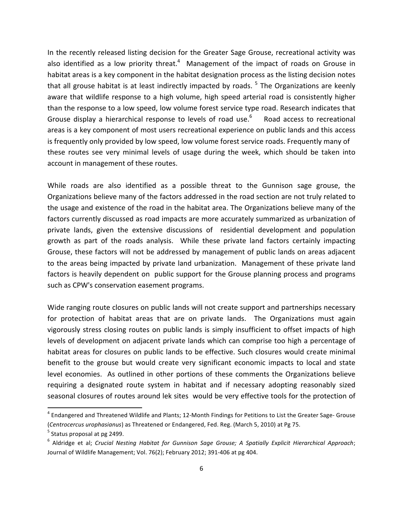In the recently released listing decision for the Greater Sage Grouse, recreational activity was also identified as a low priority threat.<sup>4</sup> Management of the impact of roads on Grouse in habitat areas is a key component in the habitat designation process as the listing decision notes that all grouse habitat is at least indirectly impacted by roads.  $5$  The Organizations are keenly aware that wildlife response to a high volume, high speed arterial road is consistently higher than the response to a low speed, low volume forest service type road. Research indicates that Grouse display a hierarchical response to levels of road use.<sup>6</sup> Road access to recreational areas is a key component of most users recreational experience on public lands and this access is frequently only provided by low speed, low volume forest service roads. Frequently many of these routes see very minimal levels of usage during the week, which should be taken into account in management of these routes.

While roads are also identified as a possible threat to the Gunnison sage grouse, the Organizations believe many of the factors addressed in the road section are not truly related to the usage and existence of the road in the habitat area. The Organizations believe many of the factors currently discussed as road impacts are more accurately summarized as urbanization of private lands, given the extensive discussions of residential development and population growth as part of the roads analysis. While these private land factors certainly impacting Grouse, these factors will not be addressed by management of public lands on areas adjacent to the areas being impacted by private land urbanization. Management of these private land factors is heavily dependent on public support for the Grouse planning process and programs such as CPW's conservation easement programs.

Wide ranging route closures on public lands will not create support and partnerships necessary for protection of habitat areas that are on private lands. The Organizations must again vigorously stress closing routes on public lands is simply insufficient to offset impacts of high levels of development on adjacent private lands which can comprise too high a percentage of habitat areas for closures on public lands to be effective. Such closures would create minimal benefit to the grouse but would create very significant economic impacts to local and state level economies. As outlined in other portions of these comments the Organizations believe requiring a designated route system in habitat and if necessary adopting reasonably sized seasonal closures of routes around lek sites would be very effective tools for the protection of

 $4$  Endangered and Threatened Wildlife and Plants; 12-Month Findings for Petitions to List the Greater Sage- Grouse (*Centrocercus urophasianus*) as Threatened or Endangered, Fed. Reg. (March 5, 2010) at Pg 75.

 $<sup>5</sup>$  Status proposal at pg 2499.</sup>

<sup>&</sup>lt;sup>6</sup> Aldridge et al; *Crucial Nesting Habitat for Gunnison Sage Grouse; A Spatially Explicit Hierarchical Approach;* Journal of Wildlife Management; Vol. 76(2); February 2012; 391-406 at pg 404.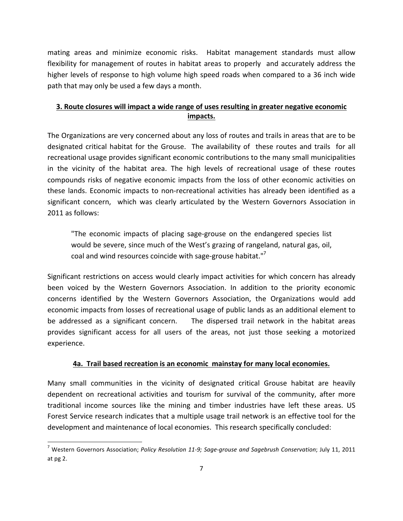mating areas and minimize economic risks. Habitat management standards must allow flexibility for management of routes in habitat areas to properly and accurately address the higher levels of response to high volume high speed roads when compared to a 36 inch wide path that may only be used a few days a month.

## **3.** Route closures will impact a wide range of uses resulting in greater negative economic **impacts.**

The Organizations are very concerned about any loss of routes and trails in areas that are to be designated critical habitat for the Grouse. The availability of these routes and trails for all recreational usage provides significant economic contributions to the many small municipalities in the vicinity of the habitat area. The high levels of recreational usage of these routes compounds risks of negative economic impacts from the loss of other economic activities on these lands. Economic impacts to non-recreational activities has already been identified as a significant concern, which was clearly articulated by the Western Governors Association in 2011 as follows:

"The economic impacts of placing sage-grouse on the endangered species list would be severe, since much of the West's grazing of rangeland, natural gas, oil, coal and wind resources coincide with sage-grouse habitat." $7$ 

Significant restrictions on access would clearly impact activities for which concern has already been voiced by the Western Governors Association. In addition to the priority economic concerns identified by the Western Governors Association, the Organizations would add economic impacts from losses of recreational usage of public lands as an additional element to be addressed as a significant concern. The dispersed trail network in the habitat areas provides significant access for all users of the areas, not just those seeking a motorized experience. 

### **4a.** Trail based recreation is an economic mainstay for many local economies.

Many small communities in the vicinity of designated critical Grouse habitat are heavily dependent on recreational activities and tourism for survival of the community, after more traditional income sources like the mining and timber industries have left these areas. US Forest Service research indicates that a multiple usage trail network is an effective tool for the development and maintenance of local economies. This research specifically concluded:

<sup>&</sup>lt;sup>7</sup> Western Governors Association; Policy Resolution 11-9; Sage-grouse and Sagebrush Conservation; July 11, 2011 at pg 2.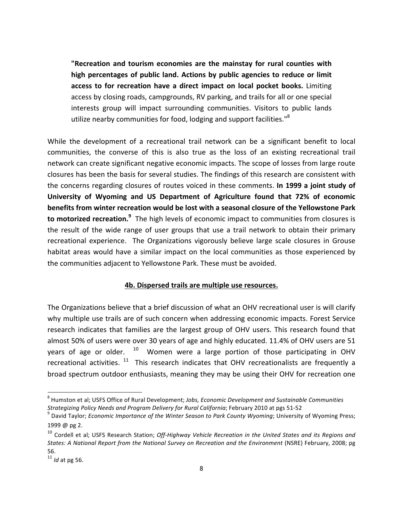**"Recreation and tourism economies are the mainstay for rural counties with** high percentages of public land. Actions by public agencies to reduce or limit access to for recreation have a direct impact on local pocket books. Limiting access by closing roads, campgrounds, RV parking, and trails for all or one special interests group will impact surrounding communities. Visitors to public lands utilize nearby communities for food, lodging and support facilities."<sup>8</sup>

While the development of a recreational trail network can be a significant benefit to local communities, the converse of this is also true as the loss of an existing recreational trail network can create significant negative economic impacts. The scope of losses from large route closures has been the basis for several studies. The findings of this research are consistent with the concerns regarding closures of routes voiced in these comments. **In 1999 a joint study of** University of Wyoming and US Department of Agriculture found that 72% of economic **benefits from winter recreation would be lost with a seasonal closure of the Yellowstone Park to motorized recreation.**<sup>9</sup> The high levels of economic impact to communities from closures is the result of the wide range of user groups that use a trail network to obtain their primary recreational experience. The Organizations vigorously believe large scale closures in Grouse habitat areas would have a similar impact on the local communities as those experienced by the communities adjacent to Yellowstone Park. These must be avoided.

#### **4b. Dispersed trails are multiple use resources.**

The Organizations believe that a brief discussion of what an OHV recreational user is will clarify why multiple use trails are of such concern when addressing economic impacts. Forest Service research indicates that families are the largest group of OHV users. This research found that almost 50% of users were over 30 years of age and highly educated. 11.4% of OHV users are 51 years of age or older.  $10$  Women were a large portion of those participating in OHV recreational activities.  $11$  This research indicates that OHV recreationalists are frequently a broad spectrum outdoor enthusiasts, meaning they may be using their OHV for recreation one

<sup>&</sup>lt;sup>8</sup> Humston et al; USFS Office of Rural Development; Jobs, Economic Development and Sustainable Communities *Strategizing Policy Needs and Program Delivery for Rural California;* February 2010 at pgs 51-52 **9 David Taylor;** *Economic Importance of the Winter Season to Park County Wyoming*; University of Wyoming Press;

<sup>1999 @</sup> pg 2.

<sup>&</sup>lt;sup>10</sup> Cordell et al; USFS Research Station; Off-Highway Vehicle Recreation in the United States and its Regions and *States:* A National Report from the National Survey on Recreation and the Environment (NSRE) February, 2008; pg 56. 

<sup>&</sup>lt;sup>11</sup> *Id* at pg 56.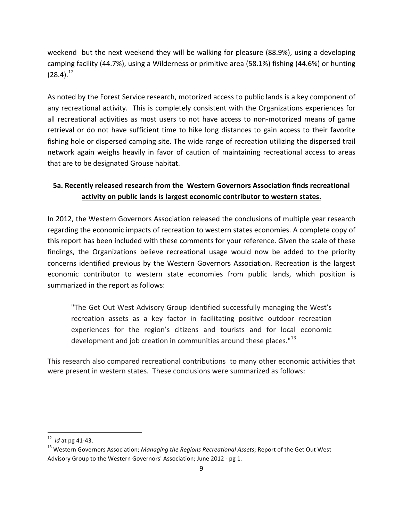weekend but the next weekend they will be walking for pleasure (88.9%), using a developing camping facility (44.7%), using a Wilderness or primitive area (58.1%) fishing (44.6%) or hunting  $(28.4).^{12}$ 

As noted by the Forest Service research, motorized access to public lands is a key component of any recreational activity. This is completely consistent with the Organizations experiences for all recreational activities as most users to not have access to non-motorized means of game retrieval or do not have sufficient time to hike long distances to gain access to their favorite fishing hole or dispersed camping site. The wide range of recreation utilizing the dispersed trail network again weighs heavily in favor of caution of maintaining recreational access to areas that are to be designated Grouse habitat.

# **5a. Recently released research from the Western Governors Association finds recreational** activity on public lands is largest economic contributor to western states.

In 2012, the Western Governors Association released the conclusions of multiple year research regarding the economic impacts of recreation to western states economies. A complete copy of this report has been included with these comments for your reference. Given the scale of these findings, the Organizations believe recreational usage would now be added to the priority concerns identified previous by the Western Governors Association. Recreation is the largest economic contributor to western state economies from public lands, which position is summarized in the report as follows:

"The Get Out West Advisory Group identified successfully managing the West's recreation assets as a key factor in facilitating positive outdoor recreation experiences for the region's citizens and tourists and for local economic development and job creation in communities around these places."<sup>13</sup>

This research also compared recreational contributions to many other economic activities that were present in western states. These conclusions were summarized as follows:

<sup>&</sup>lt;sup>12</sup> *Id* at pg 41-43.

<sup>&</sup>lt;sup>13</sup> Western Governors Association; *Managing the Regions Recreational Assets*; Report of the Get Out West Advisory Group to the Western Governors' Association; June 2012 - pg 1.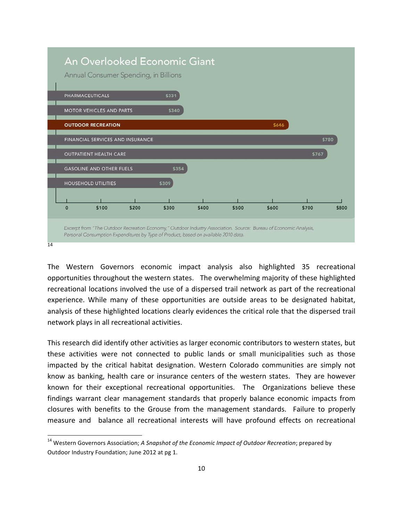

The Western Governors economic impact analysis also highlighted 35 recreational opportunities throughout the western states. The overwhelming majority of these highlighted recreational locations involved the use of a dispersed trail network as part of the recreational experience. While many of these opportunities are outside areas to be designated habitat, analysis of these highlighted locations clearly evidences the critical role that the dispersed trail network plays in all recreational activities.

This research did identify other activities as larger economic contributors to western states, but these activities were not connected to public lands or small municipalities such as those impacted by the critical habitat designation. Western Colorado communities are simply not know as banking, health care or insurance centers of the western states. They are however known for their exceptional recreational opportunities. The Organizations believe these findings warrant clear management standards that properly balance economic impacts from closures with benefits to the Grouse from the management standards. Failure to properly measure and balance all recreational interests will have profound effects on recreational

<sup>&</sup>lt;sup>14</sup> Western Governors Association; *A Snapshot of the Economic Impact of Outdoor Recreation*; prepared by Outdoor Industry Foundation; June 2012 at pg 1.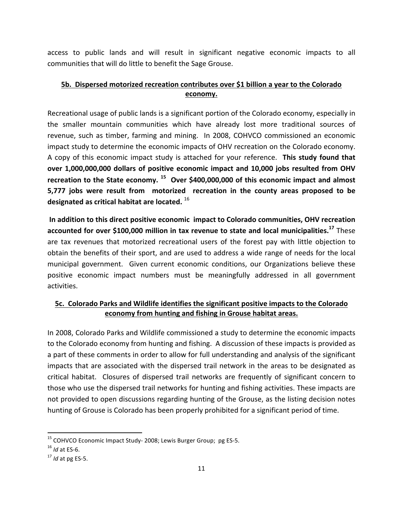access to public lands and will result in significant negative economic impacts to all communities that will do little to benefit the Sage Grouse.

# **5b.** Dispersed motorized recreation contributes over \$1 billion a year to the Colorado **economy.**

Recreational usage of public lands is a significant portion of the Colorado economy, especially in the smaller mountain communities which have already lost more traditional sources of revenue, such as timber, farming and mining. In 2008, COHVCO commissioned an economic impact study to determine the economic impacts of OHV recreation on the Colorado economy. A copy of this economic impact study is attached for your reference. This study found that **over 1,000,000,000 dollars of positive economic impact and 10,000 jobs resulted from OHV** recreation to the State economy.<sup>15</sup> Over \$400,000,000 of this economic impact and almost **5,777** jobs were result from motorized recreation in the county areas proposed to be designated as critical habitat are located. <sup>16</sup>

In addition to this direct positive economic impact to Colorado communities, OHV recreation accounted for over \$100,000 million in tax revenue to state and local municipalities.<sup>17</sup> These are tax revenues that motorized recreational users of the forest pay with little objection to obtain the benefits of their sport, and are used to address a wide range of needs for the local municipal government. Given current economic conditions, our Organizations believe these positive economic impact numbers must be meaningfully addressed in all government activities. 

## **5c. Colorado Parks and Wildlife identifies the significant positive impacts to the Colorado economy from hunting and fishing in Grouse habitat areas.**

In 2008, Colorado Parks and Wildlife commissioned a study to determine the economic impacts to the Colorado economy from hunting and fishing. A discussion of these impacts is provided as a part of these comments in order to allow for full understanding and analysis of the significant impacts that are associated with the dispersed trail network in the areas to be designated as critical habitat. Closures of dispersed trail networks are frequently of significant concern to those who use the dispersed trail networks for hunting and fishing activities. These impacts are not provided to open discussions regarding hunting of the Grouse, as the listing decision notes hunting of Grouse is Colorado has been properly prohibited for a significant period of time.

 $^{15}$  COHVCO Economic Impact Study- 2008; Lewis Burger Group; pg ES-5.

<sup>16</sup> *Id* at ES-6.

 $17$  *Id* at pg ES-5.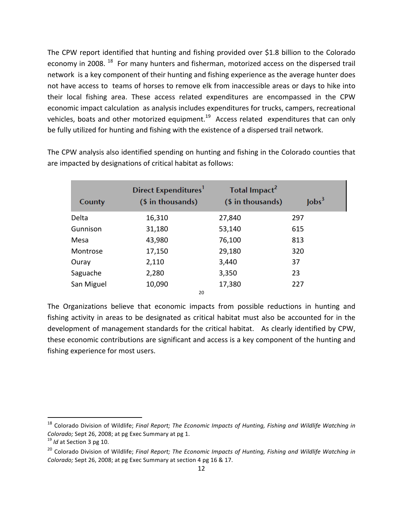The CPW report identified that hunting and fishing provided over \$1.8 billion to the Colorado economy in 2008.<sup>18</sup> For many hunters and fisherman, motorized access on the dispersed trail network is a key component of their hunting and fishing experience as the average hunter does not have access to teams of horses to remove elk from inaccessible areas or days to hike into their local fishing area. These access related expenditures are encompassed in the CPW economic impact calculation as analysis includes expenditures for trucks, campers, recreational vehicles, boats and other motorized equipment.<sup>19</sup> Access related expenditures that can only be fully utilized for hunting and fishing with the existence of a dispersed trail network.

Direct Expenditures<sup>1</sup> Total Impact<sup>2</sup>  $\text{lobs}^3$ (\$ in thousands) (\$ in thousands) County Delta 16,310 27,840 297 Gunnison 31,180 53,140 615 Mesa 43,980 76,100 813 Montrose 17,150 29,180 320 Ouray 2,110 3,440 37 Saguache 2,280 3,350 23 San Miguel 10,090 17,380 227

The CPW analysis also identified spending on hunting and fishing in the Colorado counties that are impacted by designations of critical habitat as follows:

The Organizations believe that economic impacts from possible reductions in hunting and fishing activity in areas to be designated as critical habitat must also be accounted for in the development of management standards for the critical habitat. As clearly identified by CPW, these economic contributions are significant and access is a key component of the hunting and fishing experience for most users.

20

 

<sup>&</sup>lt;sup>18</sup> Colorado Division of Wildlife; *Final Report; The Economic Impacts of Hunting, Fishing and Wildlife Watching in Colorado;* Sept 26, 2008; at pg Exec Summary at pg 1.<br><sup>19</sup> *Id* at Section 3 pg 10.

<sup>&</sup>lt;sup>20</sup> Colorado Division of Wildlife; *Final Report; The Economic Impacts of Hunting, Fishing and Wildlife Watching in Colorado;* Sept 26, 2008; at pg Exec Summary at section 4 pg 16 & 17.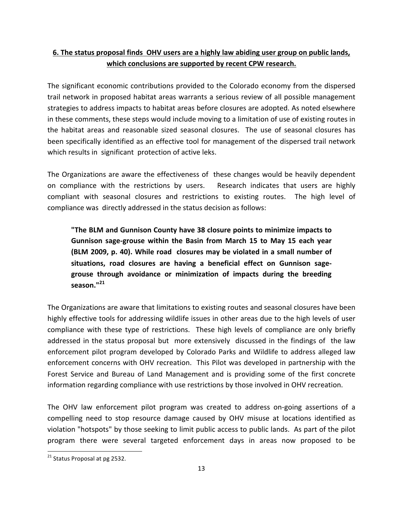# **6.** The status proposal finds OHV users are a highly law abiding user group on public lands, which conclusions are supported by recent CPW research.

The significant economic contributions provided to the Colorado economy from the dispersed trail network in proposed habitat areas warrants a serious review of all possible management strategies to address impacts to habitat areas before closures are adopted. As noted elsewhere in these comments, these steps would include moving to a limitation of use of existing routes in the habitat areas and reasonable sized seasonal closures. The use of seasonal closures has been specifically identified as an effective tool for management of the dispersed trail network which results in significant protection of active leks.

The Organizations are aware the effectiveness of these changes would be heavily dependent on compliance with the restrictions by users. Research indicates that users are highly compliant with seasonal closures and restrictions to existing routes. The high level of compliance was directly addressed in the status decision as follows:

**"The BLM and Gunnison County have 38 closure points to minimize impacts to** Gunnison sage-grouse within the Basin from March 15 to May 15 each year **(BLM 2009, p. 40). While road closures may be violated in a small number of** situations, road closures are having a beneficial effect on Gunnison sagegrouse through avoidance or minimization of impacts during the breeding **season."<sup>21</sup>**

The Organizations are aware that limitations to existing routes and seasonal closures have been highly effective tools for addressing wildlife issues in other areas due to the high levels of user compliance with these type of restrictions. These high levels of compliance are only briefly addressed in the status proposal but more extensively discussed in the findings of the law enforcement pilot program developed by Colorado Parks and Wildlife to address alleged law enforcement concerns with OHV recreation. This Pilot was developed in partnership with the Forest Service and Bureau of Land Management and is providing some of the first concrete information regarding compliance with use restrictions by those involved in OHV recreation.

The OHV law enforcement pilot program was created to address on-going assertions of a compelling need to stop resource damage caused by OHV misuse at locations identified as violation "hotspots" by those seeking to limit public access to public lands. As part of the pilot program there were several targeted enforcement days in areas now proposed to be

 $21$  Status Proposal at pg 2532.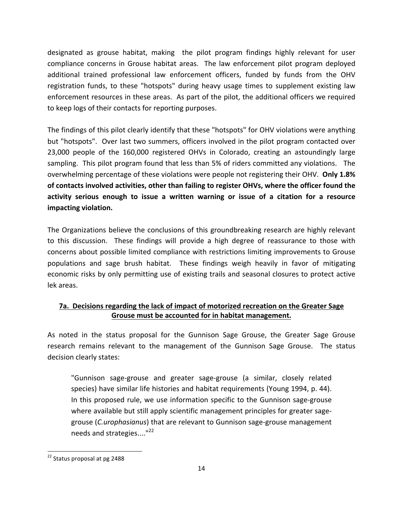designated as grouse habitat, making the pilot program findings highly relevant for user compliance concerns in Grouse habitat areas. The law enforcement pilot program deployed additional trained professional law enforcement officers, funded by funds from the OHV registration funds, to these "hotspots" during heavy usage times to supplement existing law enforcement resources in these areas. As part of the pilot, the additional officers we required to keep logs of their contacts for reporting purposes.

The findings of this pilot clearly identify that these "hotspots" for OHV violations were anything but "hotspots". Over last two summers, officers involved in the pilot program contacted over 23,000 people of the 160,000 registered OHVs in Colorado, creating an astoundingly large sampling. This pilot program found that less than 5% of riders committed any violations. The overwhelming percentage of these violations were people not registering their OHV. Only 1.8% of contacts involved activities, other than failing to register OHVs, where the officer found the **activity serious enough to issue a written warning or issue of a citation for a resource impacting violation.**

The Organizations believe the conclusions of this groundbreaking research are highly relevant to this discussion. These findings will provide a high degree of reassurance to those with concerns about possible limited compliance with restrictions limiting improvements to Grouse populations and sage brush habitat. These findings weigh heavily in favor of mitigating economic risks by only permitting use of existing trails and seasonal closures to protect active lek areas.

# **7a.** Decisions regarding the lack of impact of motorized recreation on the Greater Sage Grouse must be accounted for in habitat management.

As noted in the status proposal for the Gunnison Sage Grouse, the Greater Sage Grouse research remains relevant to the management of the Gunnison Sage Grouse. The status decision clearly states:

"Gunnison sage-grouse and greater sage-grouse (a similar, closely related species) have similar life histories and habitat requirements (Young 1994, p. 44). In this proposed rule, we use information specific to the Gunnison sage-grouse where available but still apply scientific management principles for greater sagegrouse (*C.urophasianus*) that are relevant to Gunnison sage-grouse management needs and strategies...."<sup>22</sup>

<sup>&</sup>lt;sup>22</sup> Status proposal at pg 2488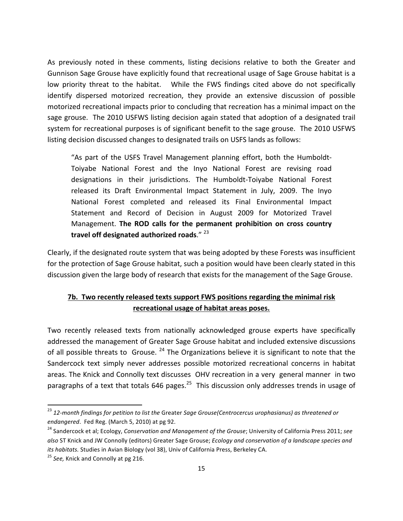As previously noted in these comments, listing decisions relative to both the Greater and Gunnison Sage Grouse have explicitly found that recreational usage of Sage Grouse habitat is a low priority threat to the habitat. While the FWS findings cited above do not specifically identify dispersed motorized recreation, they provide an extensive discussion of possible motorized recreational impacts prior to concluding that recreation has a minimal impact on the sage grouse. The 2010 USFWS listing decision again stated that adoption of a designated trail system for recreational purposes is of significant benefit to the sage grouse. The 2010 USFWS listing decision discussed changes to designated trails on USFS lands as follows:

"As part of the USFS Travel Management planning effort, both the Humboldt-Toiyabe National Forest and the Inyo National Forest are revising road designations in their jurisdictions. The Humboldt-Toiyabe National Forest released its Draft Environmental Impact Statement in July, 2009. The Inyo National Forest completed and released its Final Environmental Impact Statement and Record of Decision in August 2009 for Motorized Travel Management. **The ROD calls for the permanent prohibition on cross country** travel off designated authorized roads."<sup>23</sup>

Clearly, if the designated route system that was being adopted by these Forests was insufficient for the protection of Sage Grouse habitat, such a position would have been clearly stated in this discussion given the large body of research that exists for the management of the Sage Grouse.

# **7b.** Two recently released texts support FWS positions regarding the minimal risk recreational usage of habitat areas poses.

Two recently released texts from nationally acknowledged grouse experts have specifically addressed the management of Greater Sage Grouse habitat and included extensive discussions of all possible threats to Grouse.  $^{24}$  The Organizations believe it is significant to note that the Sandercock text simply never addresses possible motorized recreational concerns in habitat areas. The Knick and Connolly text discusses OHV recreation in a very general manner in two paragraphs of a text that totals  $646$  pages.<sup>25</sup> This discussion only addresses trends in usage of

<sup>&</sup>lt;sup>23</sup> 12-month findings for petition to list the Greater Sage Grouse(Centrocercus urophasianus) as threatened or *endangered.* Fed Reg. (March 5, 2010) at pg 92.

<sup>&</sup>lt;sup>24</sup> Sandercock et al; Ecology, *Conservation and Management of the Grouse*; University of California Press 2011; see also ST Knick and JW Connolly (editors) Greater Sage Grouse; *Ecology and conservation of a landscape species and its habitats.* Studies in Avian Biology (vol 38), Univ of California Press, Berkeley CA.

<sup>&</sup>lt;sup>25</sup> See, Knick and Connolly at pg 216.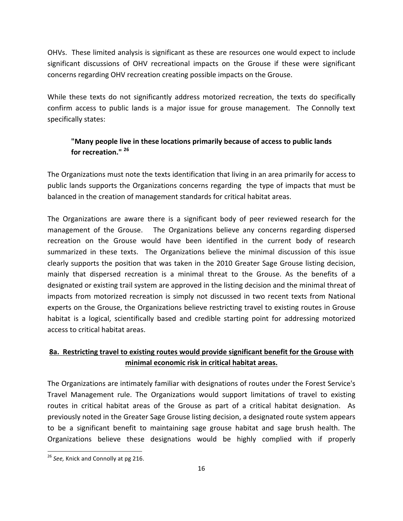OHVs. These limited analysis is significant as these are resources one would expect to include significant discussions of OHV recreational impacts on the Grouse if these were significant concerns regarding OHV recreation creating possible impacts on the Grouse.

While these texts do not significantly address motorized recreation, the texts do specifically confirm access to public lands is a major issue for grouse management. The Connolly text specifically states:

## **"Many people live in these locations primarily because of access to public lands** for recreation."<sup>26</sup>

The Organizations must note the texts identification that living in an area primarily for access to public lands supports the Organizations concerns regarding the type of impacts that must be balanced in the creation of management standards for critical habitat areas.

The Organizations are aware there is a significant body of peer reviewed research for the management of the Grouse. The Organizations believe any concerns regarding dispersed recreation on the Grouse would have been identified in the current body of research summarized in these texts. The Organizations believe the minimal discussion of this issue clearly supports the position that was taken in the 2010 Greater Sage Grouse listing decision, mainly that dispersed recreation is a minimal threat to the Grouse. As the benefits of a designated or existing trail system are approved in the listing decision and the minimal threat of impacts from motorized recreation is simply not discussed in two recent texts from National experts on the Grouse, the Organizations believe restricting travel to existing routes in Grouse habitat is a logical, scientifically based and credible starting point for addressing motorized access to critical habitat areas.

# 8a. Restricting travel to existing routes would provide significant benefit for the Grouse with **minimal economic risk in critical habitat areas.**

The Organizations are intimately familiar with designations of routes under the Forest Service's Travel Management rule. The Organizations would support limitations of travel to existing routes in critical habitat areas of the Grouse as part of a critical habitat designation. As previously noted in the Greater Sage Grouse listing decision, a designated route system appears to be a significant benefit to maintaining sage grouse habitat and sage brush health. The Organizations believe these designations would be highly complied with if properly

<sup>&</sup>lt;sup>26</sup> See, Knick and Connolly at pg 216.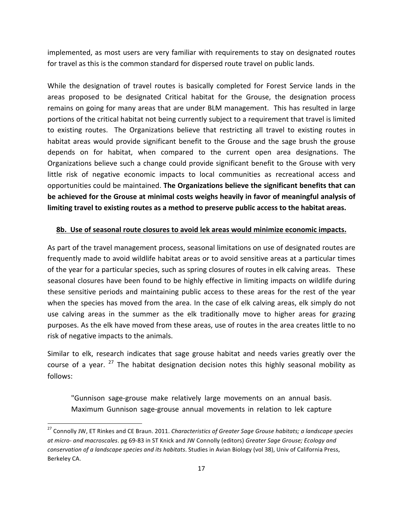implemented, as most users are very familiar with requirements to stay on designated routes for travel as this is the common standard for dispersed route travel on public lands.

While the designation of travel routes is basically completed for Forest Service lands in the areas proposed to be designated Critical habitat for the Grouse, the designation process remains on going for many areas that are under BLM management. This has resulted in large portions of the critical habitat not being currently subject to a requirement that travel is limited to existing routes. The Organizations believe that restricting all travel to existing routes in habitat areas would provide significant benefit to the Grouse and the sage brush the grouse depends on for habitat, when compared to the current open area designations. The Organizations believe such a change could provide significant benefit to the Grouse with very little risk of negative economic impacts to local communities as recreational access and opportunities could be maintained. The Organizations believe the significant benefits that can be achieved for the Grouse at minimal costs weighs heavily in favor of meaningful analysis of limiting travel to existing routes as a method to preserve public access to the habitat areas.

#### **8b.** Use of seasonal route closures to avoid lek areas would minimize economic impacts.

As part of the travel management process, seasonal limitations on use of designated routes are frequently made to avoid wildlife habitat areas or to avoid sensitive areas at a particular times of the year for a particular species, such as spring closures of routes in elk calving areas. These seasonal closures have been found to be highly effective in limiting impacts on wildlife during these sensitive periods and maintaining public access to these areas for the rest of the year when the species has moved from the area. In the case of elk calving areas, elk simply do not use calving areas in the summer as the elk traditionally move to higher areas for grazing purposes. As the elk have moved from these areas, use of routes in the area creates little to no risk of negative impacts to the animals.

Similar to elk, research indicates that sage grouse habitat and needs varies greatly over the course of a year.  $27$  The habitat designation decision notes this highly seasonal mobility as follows:

"Gunnison sage-grouse make relatively large movements on an annual basis. Maximum Gunnison sage-grouse annual movements in relation to lek capture

<sup>&</sup>lt;sup>27</sup> Connolly JW, ET Rinkes and CE Braun. 2011. *Characteristics of Greater Sage Grouse habitats; a landscape species at micro-* and macroscales. pg 69-83 in ST Knick and JW Connolly (editors) Greater Sage Grouse; Ecology and *conservation of a landscape species and its habitats*. Studies in Avian Biology (vol 38), Univ of California Press, Berkeley CA.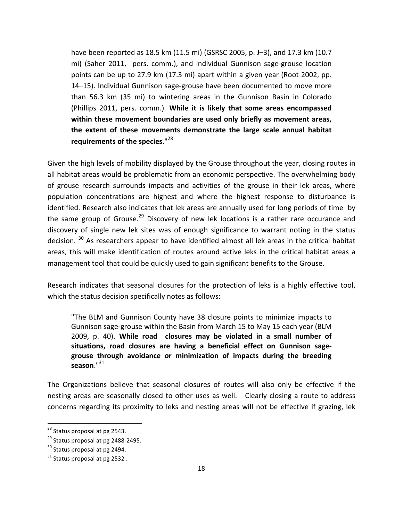have been reported as 18.5 km (11.5 mi) (GSRSC 2005, p. J-3), and 17.3 km (10.7 mi) (Saher 2011, pers. comm.), and individual Gunnison sage-grouse location points can be up to 27.9 km (17.3 mi) apart within a given year (Root 2002, pp. 14–15). Individual Gunnison sage-grouse have been documented to move more than 56.3 km (35 mi) to wintering areas in the Gunnison Basin in Colorado (Phillips 2011, pers. comm.). While it is likely that some areas encompassed within these movement boundaries are used only briefly as movement areas, the extent of these movements demonstrate the large scale annual habitat requirements of the species."<sup>28</sup>

Given the high levels of mobility displayed by the Grouse throughout the year, closing routes in all habitat areas would be problematic from an economic perspective. The overwhelming body of grouse research surrounds impacts and activities of the grouse in their lek areas, where population concentrations are highest and where the highest response to disturbance is identified. Research also indicates that lek areas are annually used for long periods of time by the same group of Grouse.<sup>29</sup> Discovery of new lek locations is a rather rare occurance and discovery of single new lek sites was of enough significance to warrant noting in the status decision.<sup>30</sup> As researchers appear to have identified almost all lek areas in the critical habitat areas, this will make identification of routes around active leks in the critical habitat areas a management tool that could be quickly used to gain significant benefits to the Grouse.

Research indicates that seasonal closures for the protection of leks is a highly effective tool, which the status decision specifically notes as follows:

"The BLM and Gunnison County have 38 closure points to minimize impacts to Gunnison sage-grouse within the Basin from March 15 to May 15 each year (BLM 2009, p. 40). While road closures may be violated in a small number of situations, road closures are having a beneficial effect on Gunnison sagegrouse through avoidance or minimization of impacts during the breeding **season**."31

The Organizations believe that seasonal closures of routes will also only be effective if the nesting areas are seasonally closed to other uses as well. Clearly closing a route to address concerns regarding its proximity to leks and nesting areas will not be effective if grazing, lek

 $28$  Status proposal at pg 2543.

 $29$  Status proposal at pg 2488-2495.

 $30$  Status proposal at pg 2494.

 $31$  Status proposal at pg 2532.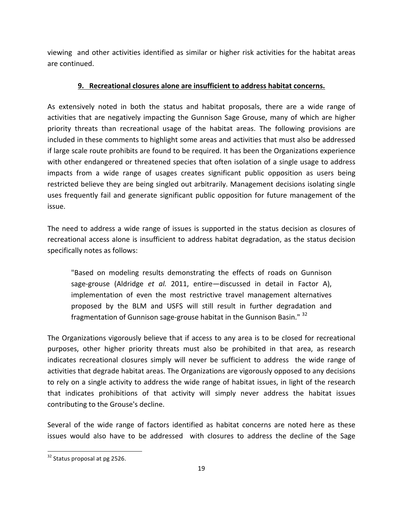viewing and other activities identified as similar or higher risk activities for the habitat areas are continued.

## **9. Recreational closures alone are insufficient to address habitat concerns.**

As extensively noted in both the status and habitat proposals, there are a wide range of activities that are negatively impacting the Gunnison Sage Grouse, many of which are higher priority threats than recreational usage of the habitat areas. The following provisions are included in these comments to highlight some areas and activities that must also be addressed if large scale route prohibits are found to be required. It has been the Organizations experience with other endangered or threatened species that often isolation of a single usage to address impacts from a wide range of usages creates significant public opposition as users being restricted believe they are being singled out arbitrarily. Management decisions isolating single uses frequently fail and generate significant public opposition for future management of the issue. 

The need to address a wide range of issues is supported in the status decision as closures of recreational access alone is insufficient to address habitat degradation, as the status decision specifically notes as follows:

"Based on modeling results demonstrating the effects of roads on Gunnison sage-grouse (Aldridge *et al.* 2011, entire—discussed in detail in Factor A), implementation of even the most restrictive travel management alternatives proposed by the BLM and USFS will still result in further degradation and fragmentation of Gunnison sage-grouse habitat in the Gunnison Basin." <sup>32</sup>

The Organizations vigorously believe that if access to any area is to be closed for recreational purposes, other higher priority threats must also be prohibited in that area, as research indicates recreational closures simply will never be sufficient to address the wide range of activities that degrade habitat areas. The Organizations are vigorously opposed to any decisions to rely on a single activity to address the wide range of habitat issues, in light of the research that indicates prohibitions of that activity will simply never address the habitat issues contributing to the Grouse's decline.

Several of the wide range of factors identified as habitat concerns are noted here as these issues would also have to be addressed with closures to address the decline of the Sage

 $32$  Status proposal at pg 2526.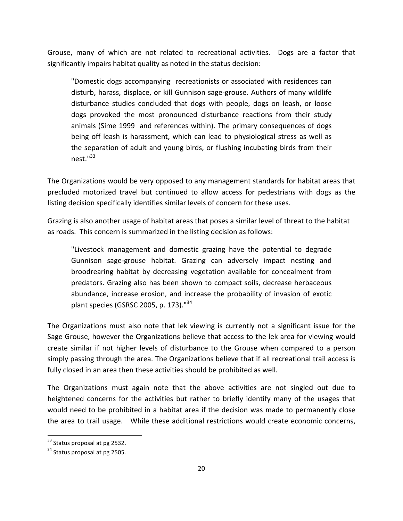Grouse, many of which are not related to recreational activities. Dogs are a factor that significantly impairs habitat quality as noted in the status decision:

"Domestic dogs accompanying recreationists or associated with residences can disturb, harass, displace, or kill Gunnison sage-grouse. Authors of many wildlife disturbance studies concluded that dogs with people, dogs on leash, or loose dogs provoked the most pronounced disturbance reactions from their study animals (Sime 1999 and references within). The primary consequences of dogs being off leash is harassment, which can lead to physiological stress as well as the separation of adult and young birds, or flushing incubating birds from their  $nest."$ <sup>33</sup>

The Organizations would be very opposed to any management standards for habitat areas that precluded motorized travel but continued to allow access for pedestrians with dogs as the listing decision specifically identifies similar levels of concern for these uses.

Grazing is also another usage of habitat areas that poses a similar level of threat to the habitat as roads. This concern is summarized in the listing decision as follows:

"Livestock management and domestic grazing have the potential to degrade Gunnison sage-grouse habitat. Grazing can adversely impact nesting and broodrearing habitat by decreasing vegetation available for concealment from predators. Grazing also has been shown to compact soils, decrease herbaceous abundance, increase erosion, and increase the probability of invasion of exotic plant species (GSRSC 2005, p. 173)."<sup>34</sup>

The Organizations must also note that lek viewing is currently not a significant issue for the Sage Grouse, however the Organizations believe that access to the lek area for viewing would create similar if not higher levels of disturbance to the Grouse when compared to a person simply passing through the area. The Organizations believe that if all recreational trail access is fully closed in an area then these activities should be prohibited as well.

The Organizations must again note that the above activities are not singled out due to heightened concerns for the activities but rather to briefly identify many of the usages that would need to be prohibited in a habitat area if the decision was made to permanently close the area to trail usage. While these additional restrictions would create economic concerns,

 $33$  Status proposal at pg 2532.

 $34$  Status proposal at pg 2505.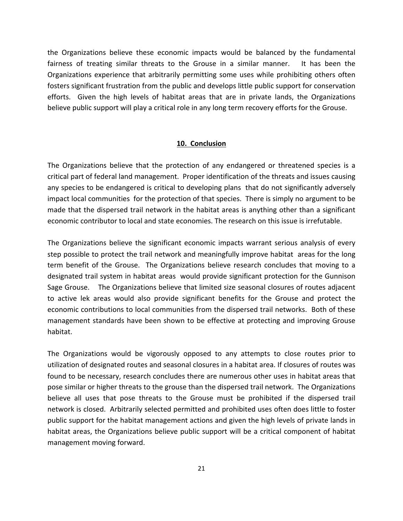the Organizations believe these economic impacts would be balanced by the fundamental fairness of treating similar threats to the Grouse in a similar manner. It has been the Organizations experience that arbitrarily permitting some uses while prohibiting others often fosters significant frustration from the public and develops little public support for conservation efforts. Given the high levels of habitat areas that are in private lands, the Organizations believe public support will play a critical role in any long term recovery efforts for the Grouse.

#### **10. Conclusion**

The Organizations believe that the protection of any endangered or threatened species is a critical part of federal land management. Proper identification of the threats and issues causing any species to be endangered is critical to developing plans that do not significantly adversely impact local communities for the protection of that species. There is simply no argument to be made that the dispersed trail network in the habitat areas is anything other than a significant economic contributor to local and state economies. The research on this issue is irrefutable.

The Organizations believe the significant economic impacts warrant serious analysis of every step possible to protect the trail network and meaningfully improve habitat areas for the long term benefit of the Grouse. The Organizations believe research concludes that moving to a designated trail system in habitat areas would provide significant protection for the Gunnison Sage Grouse. The Organizations believe that limited size seasonal closures of routes adjacent to active lek areas would also provide significant benefits for the Grouse and protect the economic contributions to local communities from the dispersed trail networks. Both of these management standards have been shown to be effective at protecting and improving Grouse habitat.

The Organizations would be vigorously opposed to any attempts to close routes prior to utilization of designated routes and seasonal closures in a habitat area. If closures of routes was found to be necessary, research concludes there are numerous other uses in habitat areas that pose similar or higher threats to the grouse than the dispersed trail network. The Organizations believe all uses that pose threats to the Grouse must be prohibited if the dispersed trail network is closed. Arbitrarily selected permitted and prohibited uses often does little to foster public support for the habitat management actions and given the high levels of private lands in habitat areas, the Organizations believe public support will be a critical component of habitat management moving forward.